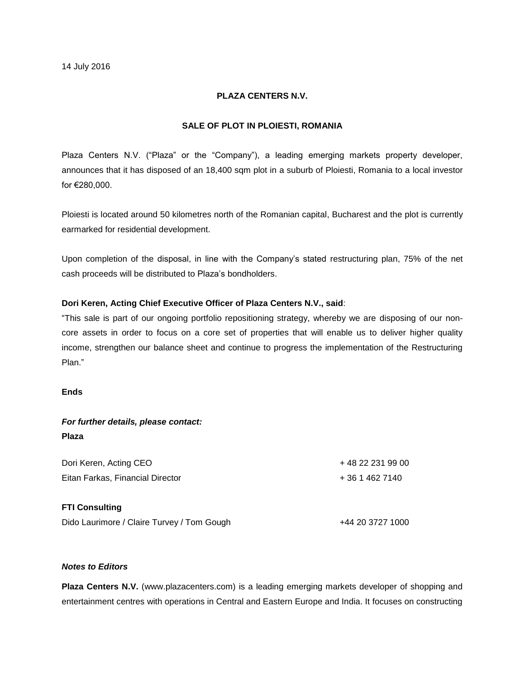## **PLAZA CENTERS N.V.**

## **SALE OF PLOT IN PLOIESTI, ROMANIA**

Plaza Centers N.V. ("Plaza" or the "Company"), a leading emerging markets property developer, announces that it has disposed of an 18,400 sqm plot in a suburb of Ploiesti, Romania to a local investor for €280,000.

Ploiesti is located around 50 kilometres north of the Romanian capital, Bucharest and the plot is currently earmarked for residential development.

Upon completion of the disposal, in line with the Company's stated restructuring plan, 75% of the net cash proceeds will be distributed to Plaza's bondholders.

## **Dori Keren, Acting Chief Executive Officer of Plaza Centers N.V., said**:

"This sale is part of our ongoing portfolio repositioning strategy, whereby we are disposing of our noncore assets in order to focus on a core set of properties that will enable us to deliver higher quality income, strengthen our balance sheet and continue to progress the implementation of the Restructuring Plan."

### **Ends**

| For further details, please contact:       |                  |
|--------------------------------------------|------------------|
| <b>Plaza</b>                               |                  |
| Dori Keren, Acting CEO                     | +48 22 231 99 00 |
| Eitan Farkas, Financial Director           | $+3614627140$    |
| <b>FTI Consulting</b>                      |                  |
| Dido Laurimore / Claire Turvey / Tom Gough | +44 20 3727 1000 |

# *Notes to Editors*

**Plaza Centers N.V.** (www.plazacenters.com) is a leading emerging markets developer of shopping and entertainment centres with operations in Central and Eastern Europe and India. It focuses on constructing